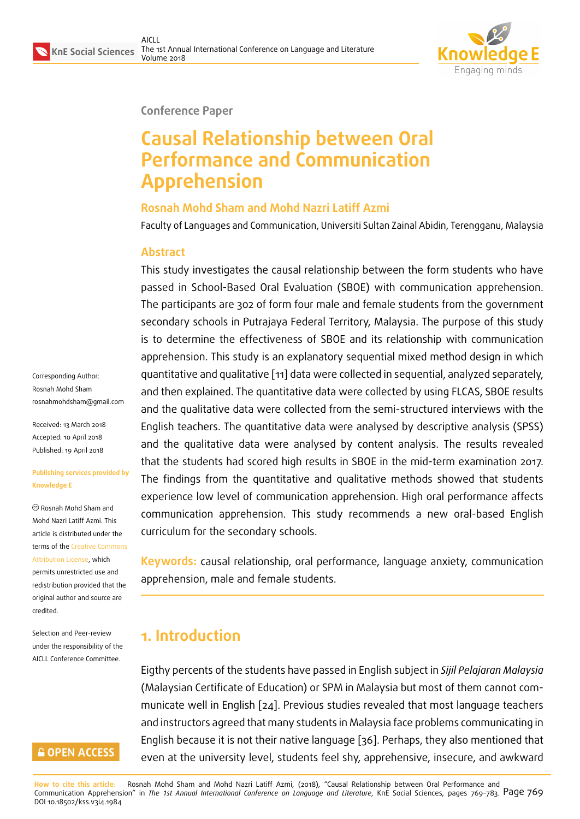

#### **Conference Paper**

# **Causal Relationship between Oral Performance and Communication Apprehension**

#### **Rosnah Mohd Sham and Mohd Nazri Latiff Azmi**

Faculty of Languages and Communication, Universiti Sultan Zainal Abidin, Terengganu, Malaysia

#### **Abstract**

This study investigates the causal relationship between the form students who have passed in School-Based Oral Evaluation (SBOE) with communication apprehension. The participants are 302 of form four male and female students from the government secondary schools in Putrajaya Federal Territory, Malaysia. The purpose of this study is to determine the effectiveness of SBOE and its relationship with communication apprehension. This study is an explanatory sequential mixed method design in which quantitative and qualitative [11] data were collected in sequential, analyzed separately, and then explained. The quantitative data were collected by using FLCAS, SBOE results and the qualitative data were collected from the semi-structured interviews with the English teachers. The quanti[tat](#page-12-0)ive data were analysed by descriptive analysis (SPSS) and the qualitative data were analysed by content analysis. The results revealed that the students had scored high results in SBOE in the mid-term examination 2017. The findings from the quantitative and qualitative methods showed that students experience low level of communication apprehension. High oral performance affects communication apprehension. This study recommends a new oral-based English curriculum for the secondary schools.

**Keywords:** causal relationship, oral performance, language anxiety, communication apprehension, male and female students.

## **1. Introduction**

Eigthy percents of the students have passed in English subject in *Sijil Pelajaran Malaysia* (Malaysian Certificate of Education) or SPM in Malaysia but most of them cannot communicate well in English [24]. Previous studies revealed that most language teachers and instructors agreed that many students in Malaysia face problems communicating in English because it is not their native language [36]. Perhaps, they also mentioned that even at the university le[vel,](#page-13-0) students feel shy, apprehensive, insecure, and awkward

Corresponding Author: Rosnah Mohd Sham rosnahmohdsham@gmail.com

Received: 13 March 2018 Accepted: 10 April 2018 [Published: 19 April 2018](mailto:rosnahmohdsham@gmail.com)

#### **Publishing services provided by Knowledge E**

Rosnah Mohd Sham and Mohd Nazri Latiff Azmi. This article is distributed under the terms of the Creative Commons

Attribution License, which permits unrestricted use and redistribution provided that the original auth[or and source are](https://creativecommons.org/licenses/by/4.0/) [credited.](https://creativecommons.org/licenses/by/4.0/)

Selection and Peer-review under the responsibility of the AICLL Conference Committee.

#### **GOPEN ACCESS**

**How to cite this article**: Rosnah Mohd Sham and Mohd Nazri Latiff Azmi, (2018), "Causal Rel[atio](#page-14-0)nship between Oral Performance and Communication Apprehension" in *The 1st Annual International Conference on Language and Literature*, KnE Social Sciences, pages 769–783. Page 769 DOI 10.18502/kss.v3i4.1984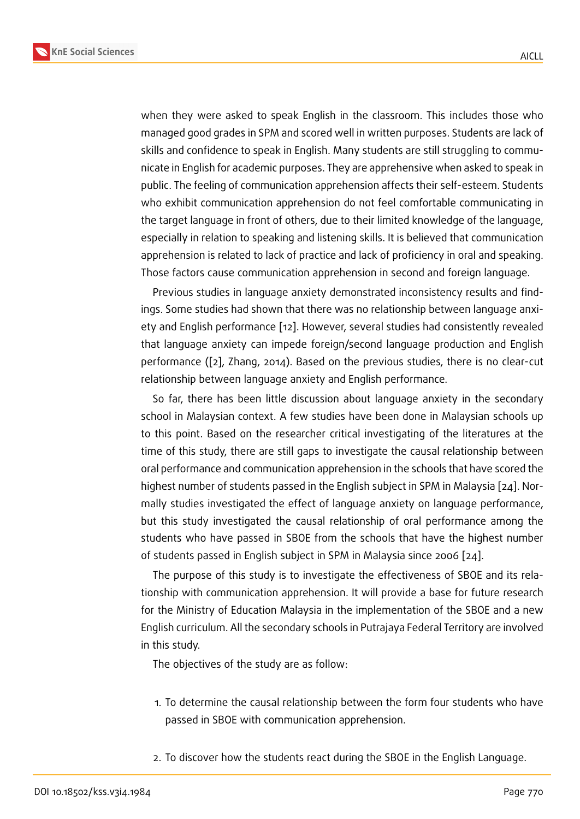when they were asked to speak English in the classroom. This includes those who managed good grades in SPM and scored well in written purposes. Students are lack of skills and confidence to speak in English. Many students are still struggling to communicate in English for academic purposes. They are apprehensive when asked to speak in public. The feeling of communication apprehension affects their self-esteem. Students who exhibit communication apprehension do not feel comfortable communicating in the target language in front of others, due to their limited knowledge of the language, especially in relation to speaking and listening skills. It is believed that communication apprehension is related to lack of practice and lack of proficiency in oral and speaking. Those factors cause communication apprehension in second and foreign language.

Previous studies in language anxiety demonstrated inconsistency results and findings. Some studies had shown that there was no relationship between language anxiety and English performance [12]. However, several studies had consistently revealed that language anxiety can impede foreign/second language production and English performance ([2], Zhang, 2014). Based on the previous studies, there is no clear-cut relationship between languag[e a](#page-12-1)nxiety and English performance.

So far, there has been little discussion about language anxiety in the secondary school in Mala[ys](#page-11-0)ian context. A few studies have been done in Malaysian schools up to this point. Based on the researcher critical investigating of the literatures at the time of this study, there are still gaps to investigate the causal relationship between oral performance and communication apprehension in the schools that have scored the highest number of students passed in the English subject in SPM in Malaysia [24]. Normally studies investigated the effect of language anxiety on language performance, but this study investigated the causal relationship of oral performance among the students who have passed in SBOE from the schools that have the highes[t nu](#page-13-0)mber of students passed in English subject in SPM in Malaysia since 2006 [24].

The purpose of this study is to investigate the effectiveness of SBOE and its relationship with communication apprehension. It will provide a base for future research for the Ministry of Education Malaysia in the implementation of the [SB](#page-13-0)OE and a new English curriculum. All the secondary schools in Putrajaya Federal Territory are involved in this study.

The objectives of the study are as follow:

- 1. To determine the causal relationship between the form four students who have passed in SBOE with communication apprehension.
- 2. To discover how the students react during the SBOE in the English Language.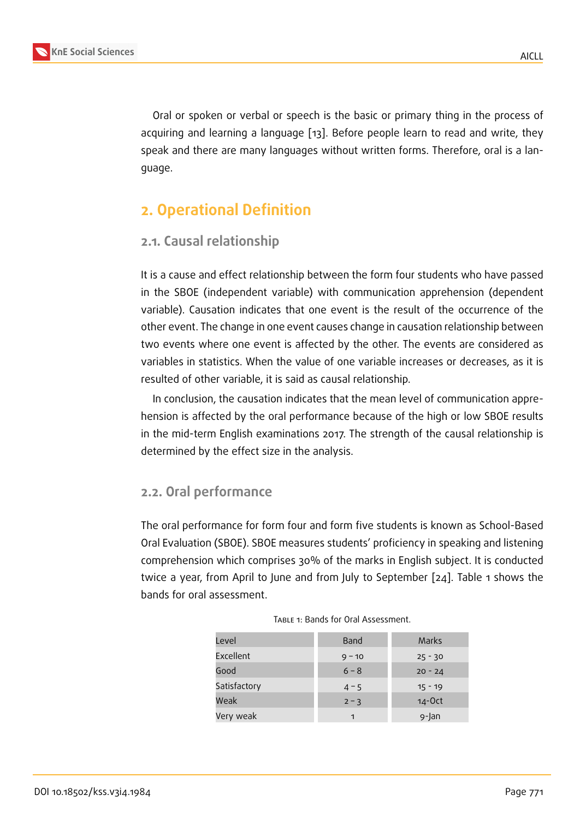Oral or spoken or verbal or speech is the basic or primary thing in the process of acquiring and learning a language [13]. Before people learn to read and write, they speak and there are many languages without written forms. Therefore, oral is a language.

## **2. Operational Definition**

### **2.1. Causal relationship**

It is a cause and effect relationship between the form four students who have passed in the SBOE (independent variable) with communication apprehension (dependent variable). Causation indicates that one event is the result of the occurrence of the other event. The change in one event causes change in causation relationship between two events where one event is affected by the other. The events are considered as variables in statistics. When the value of one variable increases or decreases, as it is resulted of other variable, it is said as causal relationship.

In conclusion, the causation indicates that the mean level of communication apprehension is affected by the oral performance because of the high or low SBOE results in the mid-term English examinations 2017. The strength of the causal relationship is determined by the effect size in the analysis.

#### **2.2. Oral performance**

The oral performance for form four and form five students is known as School-Based Oral Evaluation (SBOE). SBOE measures students' proficiency in speaking and listening comprehension which comprises 30% of the marks in English subject. It is conducted twice a year, from April to June and from July to September [24]. Table 1 shows the bands for oral assessment.

| Level        | Band     | Marks     |
|--------------|----------|-----------|
| Excellent    | $9 - 10$ | $25 - 30$ |
| Good         | $6 - 8$  | $20 - 24$ |
| Satisfactory | $4 - 5$  | $15 - 19$ |
| Weak         | $2 - 3$  | $14-0ct$  |
| Very weak    | 1        | 9-Jan     |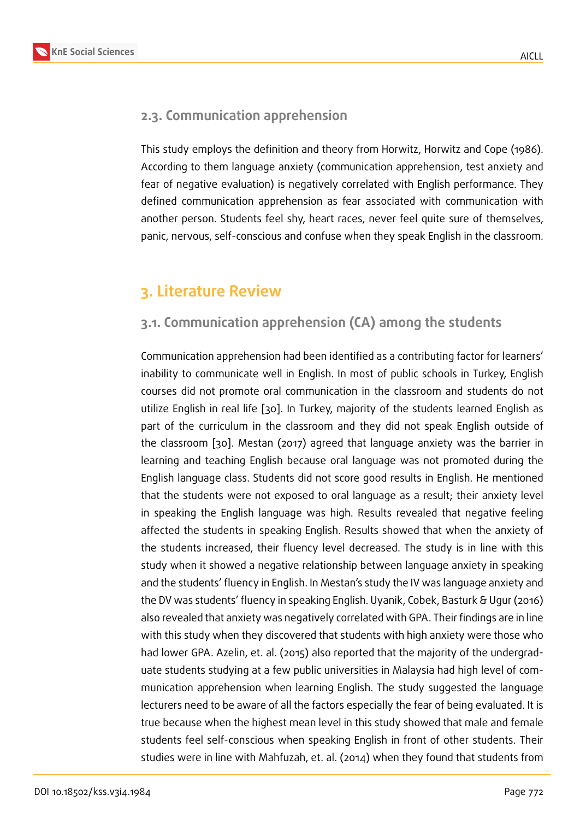### **2.3. Communication apprehension**

This study employs the definition and theory from Horwitz, Horwitz and Cope (1986). According to them language anxiety (communication apprehension, test anxiety and fear of negative evaluation) is negatively correlated with English performance. They defined communication apprehension as fear associated with communication with another person. Students feel shy, heart races, never feel quite sure of themselves, panic, nervous, self-conscious and confuse when they speak English in the classroom.

## **3. Literature Review**

### **3.1. Communication apprehension (CA) among the students**

Communication apprehension had been identified as a contributing factor for learners' inability to communicate well in English. In most of public schools in Turkey, English courses did not promote oral communication in the classroom and students do not utilize English in real life [30]. In Turkey, majority of the students learned English as part of the curriculum in the classroom and they did not speak English outside of the classroom [30]. Mestan (2017) agreed that language anxiety was the barrier in learning and teaching En[glis](#page-13-1)h because oral language was not promoted during the English language class. Students did not score good results in English. He mentioned that the studen[ts w](#page-13-1)ere not exposed to oral language as a result; their anxiety level in speaking the English language was high. Results revealed that negative feeling affected the students in speaking English. Results showed that when the anxiety of the students increased, their fluency level decreased. The study is in line with this study when it showed a negative relationship between language anxiety in speaking and the students' fluency in English. In Mestan's study the IV was language anxiety and the DV was students' fluency in speaking English. Uyanik, Cobek, Basturk & Ugur (2016) also revealed that anxiety was negatively correlated with GPA. Their findings are in line with this study when they discovered that students with high anxiety were those who had lower GPA. Azelin, et. al. (2015) also reported that the majority of the undergraduate students studying at a few public universities in Malaysia had high level of communication apprehension when learning English. The study suggested the language lecturers need to be aware of all the factors especially the fear of being evaluated. It is true because when the highest mean level in this study showed that male and female students feel self-conscious when speaking English in front of other students. Their studies were in line with Mahfuzah, et. al. (2014) when they found that students from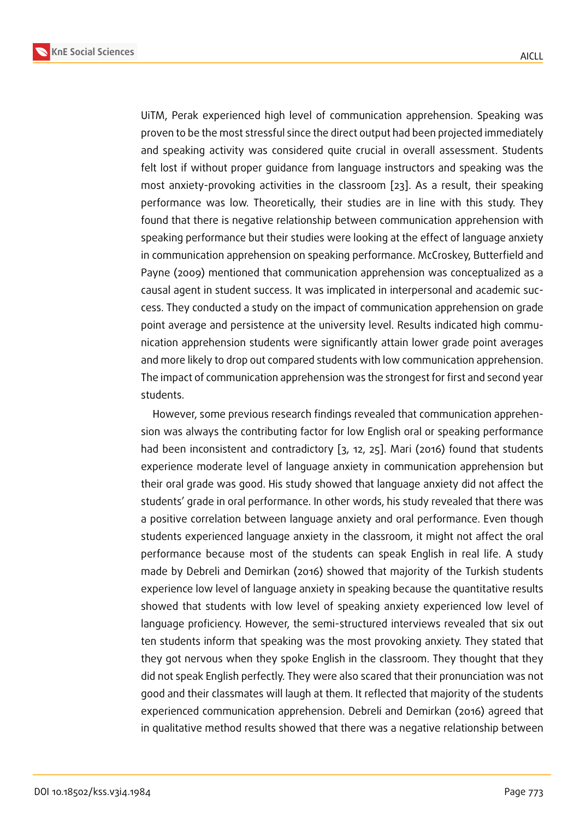UiTM, Perak experienced high level of communication apprehension. Speaking was proven to be the most stressful since the direct output had been projected immediately and speaking activity was considered quite crucial in overall assessment. Students felt lost if without proper guidance from language instructors and speaking was the most anxiety-provoking activities in the classroom [23]. As a result, their speaking performance was low. Theoretically, their studies are in line with this study. They found that there is negative relationship between communication apprehension with speaking performance but their studies were looking [at t](#page-13-2)he effect of language anxiety in communication apprehension on speaking performance. McCroskey, Butterfield and Payne (2009) mentioned that communication apprehension was conceptualized as a causal agent in student success. It was implicated in interpersonal and academic success. They conducted a study on the impact of communication apprehension on grade point average and persistence at the university level. Results indicated high communication apprehension students were significantly attain lower grade point averages and more likely to drop out compared students with low communication apprehension. The impact of communication apprehension was the strongest for first and second year students.

However, some previous research findings revealed that communication apprehension was always the contributing factor for low English oral or speaking performance had been inconsistent and contradictory [3, 12, 25]. Mari (2016) found that students experience moderate level of language anxiety in communication apprehension but their oral grade was good. His study showed that language anxiety did not affect the students' grade in oral performance. In oth[er](#page-11-1) [wo](#page-12-1)[rds](#page-13-3), his study revealed that there was a positive correlation between language anxiety and oral performance. Even though students experienced language anxiety in the classroom, it might not affect the oral performance because most of the students can speak English in real life. A study made by Debreli and Demirkan (2016) showed that majority of the Turkish students experience low level of language anxiety in speaking because the quantitative results showed that students with low level of speaking anxiety experienced low level of language proficiency. However, the semi-structured interviews revealed that six out ten students inform that speaking was the most provoking anxiety. They stated that they got nervous when they spoke English in the classroom. They thought that they did not speak English perfectly. They were also scared that their pronunciation was not good and their classmates will laugh at them. It reflected that majority of the students experienced communication apprehension. Debreli and Demirkan (2016) agreed that in qualitative method results showed that there was a negative relationship between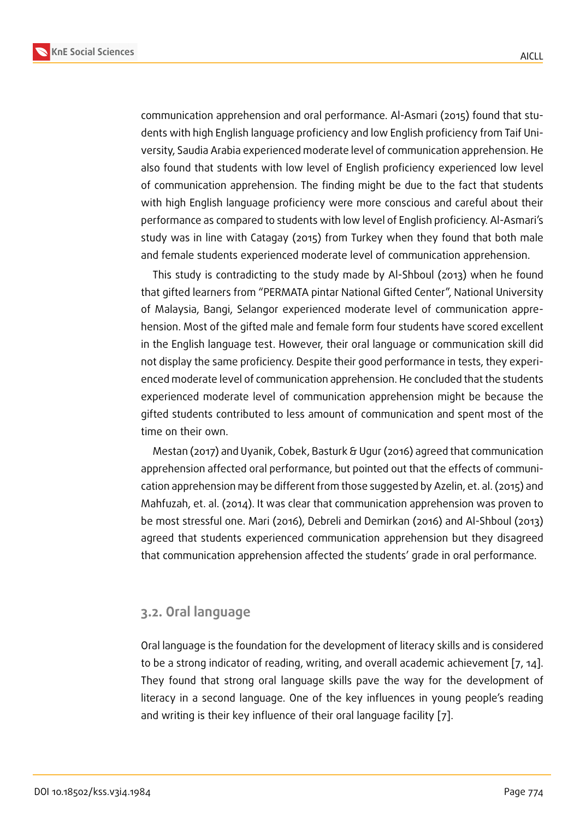communication apprehension and oral performance. Al-Asmari (2015) found that students with high English language proficiency and low English proficiency from Taif University, Saudia Arabia experienced moderate level of communication apprehension. He also found that students with low level of English proficiency experienced low level of communication apprehension. The finding might be due to the fact that students with high English language proficiency were more conscious and careful about their performance as compared to students with low level of English proficiency. Al-Asmari's study was in line with Catagay (2015) from Turkey when they found that both male and female students experienced moderate level of communication apprehension.

This study is contradicting to the study made by Al-Shboul (2013) when he found that gifted learners from "PERMATA pintar National Gifted Center", National University of Malaysia, Bangi, Selangor experienced moderate level of communication apprehension. Most of the gifted male and female form four students have scored excellent in the English language test. However, their oral language or communication skill did not display the same proficiency. Despite their good performance in tests, they experienced moderate level of communication apprehension. He concluded that the students experienced moderate level of communication apprehension might be because the gifted students contributed to less amount of communication and spent most of the time on their own.

Mestan (2017) and Uyanik, Cobek, Basturk & Ugur (2016) agreed that communication apprehension affected oral performance, but pointed out that the effects of communication apprehension may be different from those suggested by Azelin, et. al. (2015) and Mahfuzah, et. al. (2014). It was clear that communication apprehension was proven to be most stressful one. Mari (2016), Debreli and Demirkan (2016) and Al-Shboul (2013) agreed that students experienced communication apprehension but they disagreed that communication apprehension affected the students' grade in oral performance.

### **3.2. Oral language**

Oral language is the foundation for the development of literacy skills and is considered to be a strong indicator of reading, writing, and overall academic achievement [7, 14]. They found that strong oral language skills pave the way for the development of literacy in a second language. One of the key influences in young people's reading and writing is their key influence of their oral language facility [7].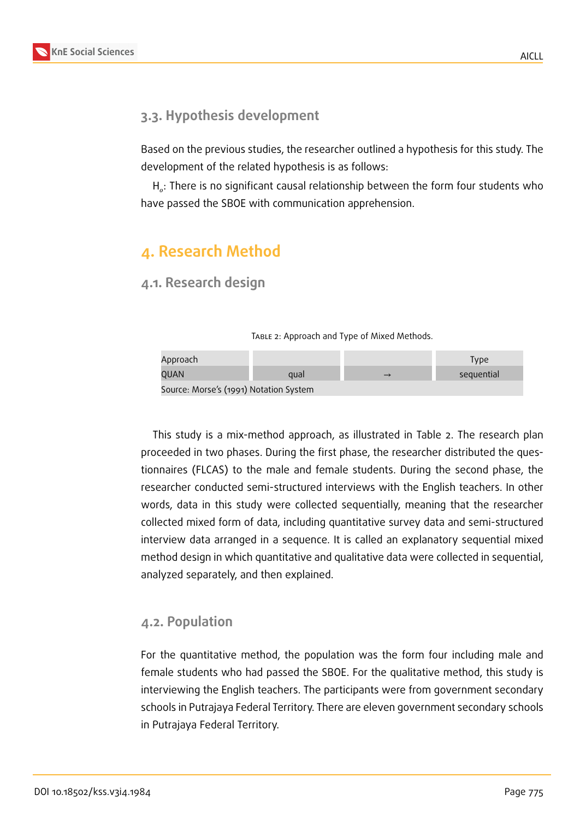### **3.3. Hypothesis development**

Based on the previous studies, the researcher outlined a hypothesis for this study. The development of the related hypothesis is as follows:

H $_{o}$ : There is no significant causal relationship between the form four students who have passed the SBOE with communication apprehension.

## **4. Research Method**

**4.1. Research design**

TABLE 2: Approach and Type of Mixed Methods.

| Approach                                                           |      |  | Type       |  |  |
|--------------------------------------------------------------------|------|--|------------|--|--|
| QUAN                                                               | aual |  | sequential |  |  |
| $C_{\text{source}}$ , Messels (i.e., Materiae, $C_{\text{center}}$ |      |  |            |  |  |

Source: Morse's (1991) Notation System

This study is a mix-method approach, as illustrated in Table 2. The research plan proceeded in two phases. During the first phase, the researcher distributed the questionnaires (FLCAS) to the male and female students. During the second phase, the researcher conducted semi-structured interviews with the English teachers. In other words, data in this study were collected sequentially, meaning that the researcher collected mixed form of data, including quantitative survey data and semi-structured interview data arranged in a sequence. It is called an explanatory sequential mixed method design in which quantitative and qualitative data were collected in sequential, analyzed separately, and then explained.

#### **4.2. Population**

For the quantitative method, the population was the form four including male and female students who had passed the SBOE. For the qualitative method, this study is interviewing the English teachers. The participants were from government secondary schools in Putrajaya Federal Territory. There are eleven government secondary schools in Putrajaya Federal Territory.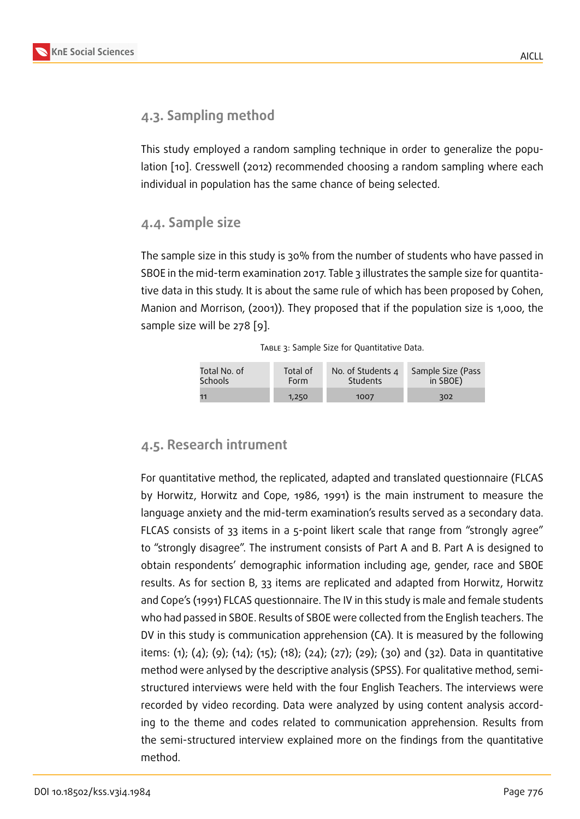### **4.3. Sampling method**

This study employed a random sampling technique in order to generalize the population [10]. Cresswell (2012) recommended choosing a random sampling where each individual in population has the same chance of being selected.

#### **4.4. [Sam](#page-12-2)ple size**

The sample size in this study is 30% from the number of students who have passed in SBOE in the mid-term examination 2017. Table 3 illustrates the sample size for quantitative data in this study. It is about the same rule of which has been proposed by Cohen, Manion and Morrison, (2001)). They proposed that if the population size is 1,000, the sample size will be 278 [9].

|  |  | TABLE 3: Sample Size for Quantitative Data. |  |
|--|--|---------------------------------------------|--|
|  |  |                                             |  |

| Total No. of   | Total of    | No. of Students 4 | Sample Size (Pass |
|----------------|-------------|-------------------|-------------------|
| <b>Schools</b> | <b>Form</b> | Students          | in SBOE)          |
| 11             | 1,250       | 1007              | 302               |

#### **4.5. Research intrument**

For quantitative method, the replicated, adapted and translated questionnaire (FLCAS by Horwitz, Horwitz and Cope, 1986, 1991) is the main instrument to measure the language anxiety and the mid-term examination's results served as a secondary data. FLCAS consists of 33 items in a 5-point likert scale that range from "strongly agree" to "strongly disagree". The instrument consists of Part A and B. Part A is designed to obtain respondents' demographic information including age, gender, race and SBOE results. As for section B, 33 items are replicated and adapted from Horwitz, Horwitz and Cope's (1991) FLCAS questionnaire. The IV in this study is male and female students who had passed in SBOE. Results of SBOE were collected from the English teachers. The DV in this study is communication apprehension (CA). It is measured by the following items: (1); (4); (9); (14); (15); (18); (24); (27); (29); (30) and (32). Data in quantitative method were anlysed by the descriptive analysis (SPSS). For qualitative method, semistructured interviews were held with the four English Teachers. The interviews were recorded by video recording. Data were analyzed by using content analysis according to the theme and codes related to communication apprehension. Results from the semi-structured interview explained more on the findings from the quantitative method.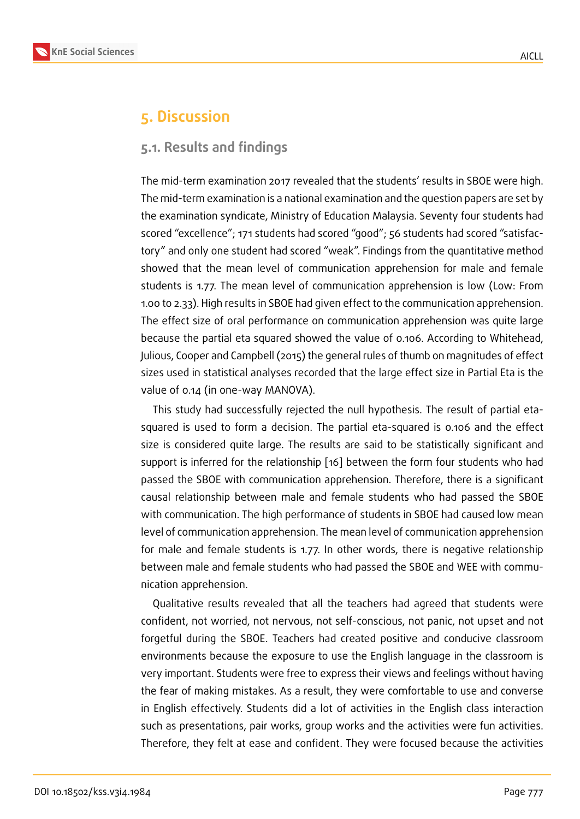## **5. Discussion**

#### **5.1. Results and findings**

The mid-term examination 2017 revealed that the students' results in SBOE were high. The mid-term examination is a national examination and the question papers are set by the examination syndicate, Ministry of Education Malaysia. Seventy four students had scored "excellence"; 171 students had scored "good"; 56 students had scored "satisfactory" and only one student had scored "weak". Findings from the quantitative method showed that the mean level of communication apprehension for male and female students is 1.77. The mean level of communication apprehension is low (Low: From 1.00 to 2.33). High results in SBOE had given effect to the communication apprehension. The effect size of oral performance on communication apprehension was quite large because the partial eta squared showed the value of 0.106. According to Whitehead, Julious, Cooper and Campbell (2015) the general rules of thumb on magnitudes of effect sizes used in statistical analyses recorded that the large effect size in Partial Eta is the value of 0.14 (in one-way MANOVA).

This study had successfully rejected the null hypothesis. The result of partial etasquared is used to form a decision. The partial eta-squared is 0.106 and the effect size is considered quite large. The results are said to be statistically significant and support is inferred for the relationship [16] between the form four students who had passed the SBOE with communication apprehension. Therefore, there is a significant causal relationship between male and female students who had passed the SBOE with communication. The high perform[anc](#page-12-3)e of students in SBOE had caused low mean level of communication apprehension. The mean level of communication apprehension for male and female students is 1.77. In other words, there is negative relationship between male and female students who had passed the SBOE and WEE with communication apprehension.

Qualitative results revealed that all the teachers had agreed that students were confident, not worried, not nervous, not self-conscious, not panic, not upset and not forgetful during the SBOE. Teachers had created positive and conducive classroom environments because the exposure to use the English language in the classroom is very important. Students were free to express their views and feelings without having the fear of making mistakes. As a result, they were comfortable to use and converse in English effectively. Students did a lot of activities in the English class interaction such as presentations, pair works, group works and the activities were fun activities. Therefore, they felt at ease and confident. They were focused because the activities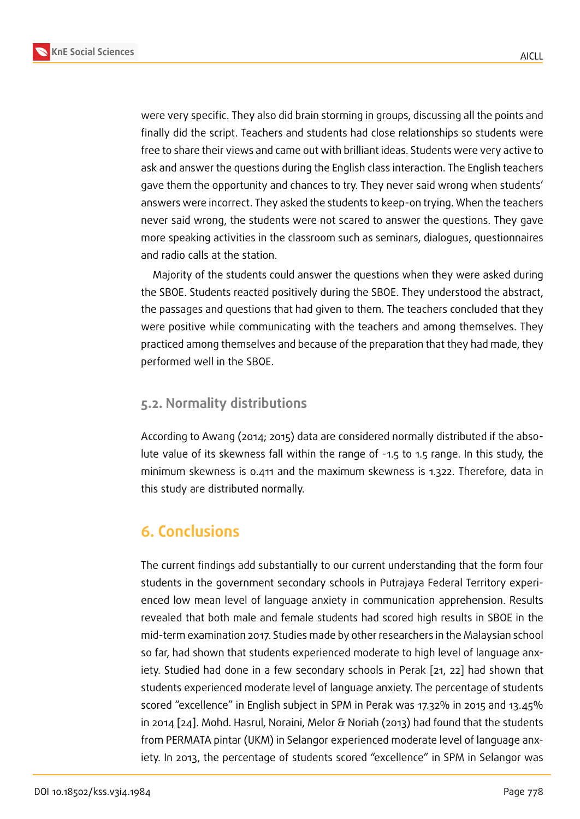were very specific. They also did brain storming in groups, discussing all the points and finally did the script. Teachers and students had close relationships so students were free to share their views and came out with brilliant ideas. Students were very active to ask and answer the questions during the English class interaction. The English teachers gave them the opportunity and chances to try. They never said wrong when students' answers were incorrect. They asked the students to keep-on trying. When the teachers never said wrong, the students were not scared to answer the questions. They gave more speaking activities in the classroom such as seminars, dialogues, questionnaires and radio calls at the station.

Majority of the students could answer the questions when they were asked during the SBOE. Students reacted positively during the SBOE. They understood the abstract, the passages and questions that had given to them. The teachers concluded that they were positive while communicating with the teachers and among themselves. They practiced among themselves and because of the preparation that they had made, they performed well in the SBOE.

#### **5.2. Normality distributions**

According to Awang (2014; 2015) data are considered normally distributed if the absolute value of its skewness fall within the range of -1.5 to 1.5 range. In this study, the minimum skewness is 0.411 and the maximum skewness is 1.322. Therefore, data in this study are distributed normally.

## **6. Conclusions**

The current findings add substantially to our current understanding that the form four students in the government secondary schools in Putrajaya Federal Territory experienced low mean level of language anxiety in communication apprehension. Results revealed that both male and female students had scored high results in SBOE in the mid-term examination 2017. Studies made by other researchers in the Malaysian school so far, had shown that students experienced moderate to high level of language anxiety. Studied had done in a few secondary schools in Perak [21, 22] had shown that students experienced moderate level of language anxiety. The percentage of students scored "excellence" in English subject in SPM in Perak was 17.32% in 2015 and 13.45% in 2014 [24]. Mohd. Hasrul, Noraini, Melor & Noriah (2013) had [fou](#page-13-4)[nd](#page-13-5) that the students from PERMATA pintar (UKM) in Selangor experienced moderate level of language anxiety. In 2013, the percentage of students scored "excellence" in SPM in Selangor was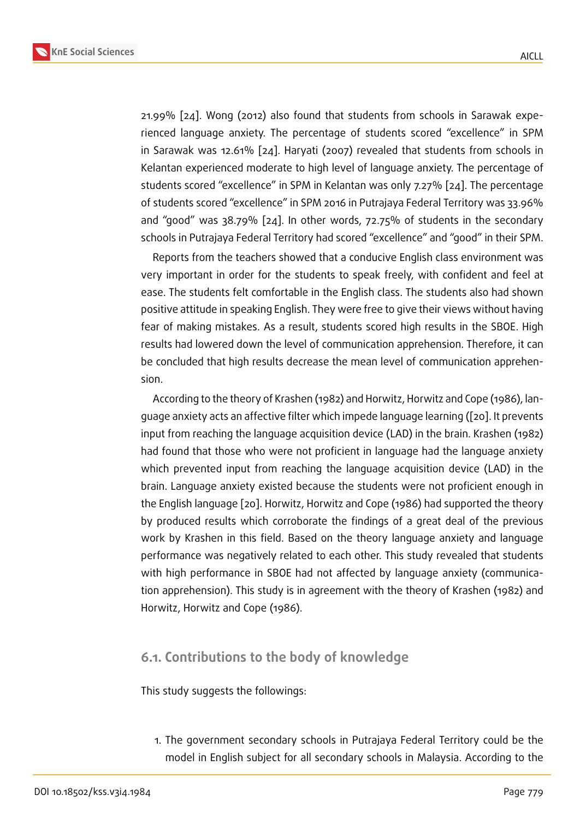21.99% [24]. Wong (2012) also found that students from schools in Sarawak experienced language anxiety. The percentage of students scored "excellence" in SPM in Sarawak was 12.61% [24]. Haryati (2007) revealed that students from schools in Kelantan [ex](#page-13-0)perienced moderate to high level of language anxiety. The percentage of students scored "excellence" in SPM in Kelantan was only 7.27% [24]. The percentage of students scored "excell[enc](#page-13-0)e" in SPM 2016 in Putrajaya Federal Territory was 33.96% and "good" was 38.79% [24]. In other words, 72.75% of students in the secondary schools in Putrajaya Federal Territory had scored "excellence" and ["go](#page-13-0)od" in their SPM.

Reports from the teachers showed that a conducive English class environment was very important in order f[or t](#page-13-0)he students to speak freely, with confident and feel at ease. The students felt comfortable in the English class. The students also had shown positive attitude in speaking English. They were free to give their views without having fear of making mistakes. As a result, students scored high results in the SBOE. High results had lowered down the level of communication apprehension. Therefore, it can be concluded that high results decrease the mean level of communication apprehension.

According to the theory of Krashen (1982) and Horwitz, Horwitz and Cope (1986), language anxiety acts an affective filter which impede language learning ([20]. It prevents input from reaching the language acquisition device (LAD) in the brain. Krashen (1982) had found that those who were not proficient in language had the language anxiety which prevented input from reaching the language acquisition devi[ce \(](#page-12-4)LAD) in the brain. Language anxiety existed because the students were not proficient enough in the English language [20]. Horwitz, Horwitz and Cope (1986) had supported the theory by produced results which corroborate the findings of a great deal of the previous work by Krashen in this field. Based on the theory language anxiety and language performance was ne[gati](#page-12-4)vely related to each other. This study revealed that students with high performance in SBOE had not affected by language anxiety (communication apprehension). This study is in agreement with the theory of Krashen (1982) and Horwitz, Horwitz and Cope (1986).

#### **6.1. Contributions to the body of knowledge**

This study suggests the followings:

1. The government secondary schools in Putrajaya Federal Territory could be the model in English subject for all secondary schools in Malaysia. According to the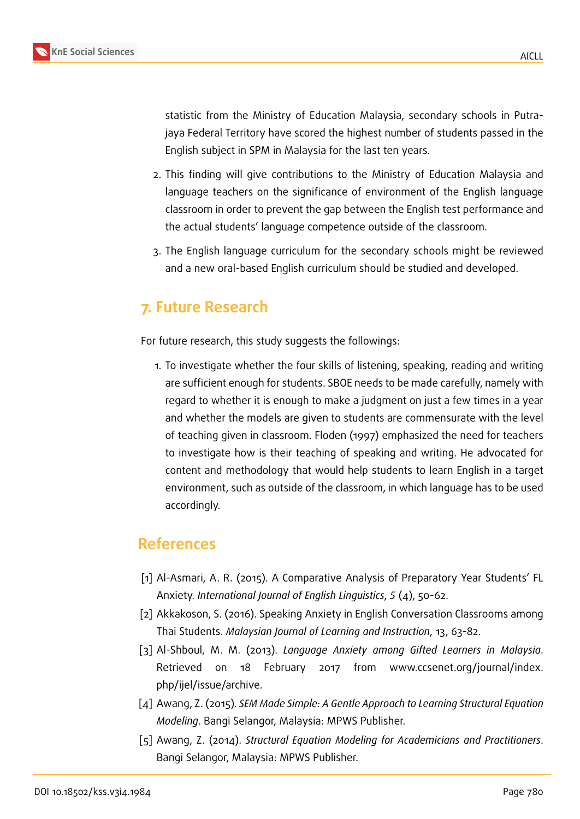statistic from the Ministry of Education Malaysia, secondary schools in Putrajaya Federal Territory have scored the highest number of students passed in the English subject in SPM in Malaysia for the last ten years.

- 2. This finding will give contributions to the Ministry of Education Malaysia and language teachers on the significance of environment of the English language classroom in order to prevent the gap between the English test performance and the actual students' language competence outside of the classroom.
- 3. The English language curriculum for the secondary schools might be reviewed and a new oral-based English curriculum should be studied and developed.

## **7. Future Research**

For future research, this study suggests the followings:

1. To investigate whether the four skills of listening, speaking, reading and writing are sufficient enough for students. SBOE needs to be made carefully, namely with regard to whether it is enough to make a judgment on just a few times in a year and whether the models are given to students are commensurate with the level of teaching given in classroom. Floden (1997) emphasized the need for teachers to investigate how is their teaching of speaking and writing. He advocated for content and methodology that would help students to learn English in a target environment, such as outside of the classroom, in which language has to be used accordingly.

## **References**

- [1] Al-Asmari, A. R. (2015). A Comparative Analysis of Preparatory Year Students' FL Anxiety. *International Journal of English Linguistics*, *5* (4), 50-62.
- <span id="page-11-0"></span>[2] Akkakoson, S. (2016). Speaking Anxiety in English Conversation Classrooms among Thai Students. *Malaysian Journal of Learning and Instruction*, 13, 63-82.
- <span id="page-11-1"></span>[3] Al-Shboul, M. M. (2013). *Language Anxiety among Gifted Learners in Malaysia*. Retrieved on 18 February 2017 from www.ccsenet.org/journal/index. php/ijel/issue/archive.
- [4] Awang, Z. (2015). *SEM Made Simple: A Gentle Approach to Learning Structural Equation Modeling*. Bangi Selangor, Malaysia: MPWS Publisher.
- [5] Awang, Z. (2014). *Structural Equation Modeling for Academicians and Practitioners*. Bangi Selangor, Malaysia: MPWS Publisher.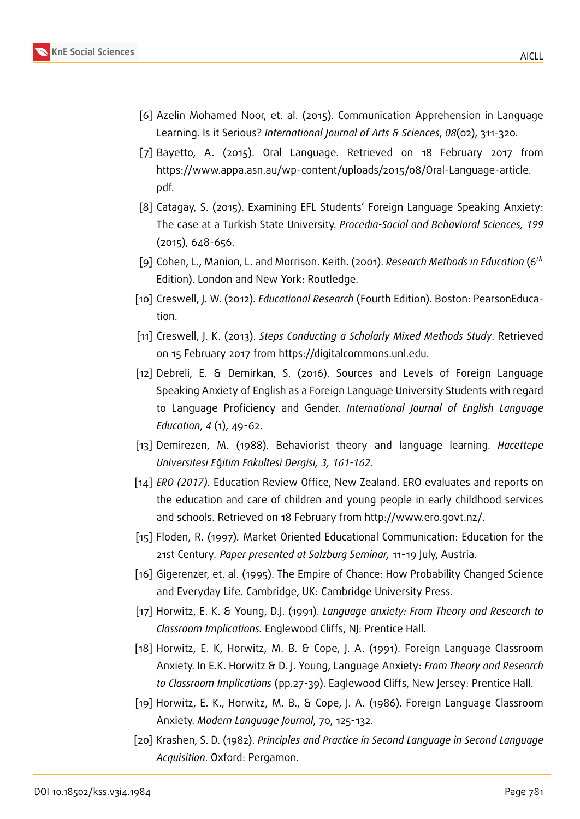

- [7] Bayetto, A. (2015). Oral Language. Retrieved on 18 February 2017 from https://www.appa.asn.au/wp-content/uploads/2015/08/Oral-Language-article. pdf.
- [8] Catagay, S. (2015). Examining EFL Students' Foreign Language Speaking Anxiety: The case at a Turkish State University. *Procedia-Social and Behavioral Sciences, 199* (2015), 648-656.
- [9] Cohen, L., Manion, L. and Morrison. Keith. (2001). *Research Methods in Education* (6<sup>th</sup> Edition). London and New York: Routledge.
- <span id="page-12-2"></span>[10] Creswell, J. W. (2012). *Educational Research* (Fourth Edition). Boston: PearsonEducation.
- <span id="page-12-0"></span>[11] Creswell, J. K. (2013). *Steps Conducting a Scholarly Mixed Methods Study*. Retrieved on 15 February 2017 from https://digitalcommons.unl.edu.
- <span id="page-12-1"></span>[12] Debreli, E. & Demirkan, S. (2016). Sources and Levels of Foreign Language Speaking Anxiety of English as a Foreign Language University Students with regard to Language Proficiency and Gender. *International Journal of English Language Education*, *4* (1), 49-62.
- [13] Demirezen, M. (1988). Behaviorist theory and language learning. *Hacettepe Universitesi E*ğ*itim Fakultesi Dergisi, 3, 161-162.*
- [14] *ERO (2017).* Education Review Office, New Zealand. ERO evaluates and reports on the education and care of children and young people in early childhood services and schools. Retrieved on 18 February from http://www.ero.govt.nz/.
- [15] Floden, R. (1997)*.* Market Oriented Educational Communication: Education for the 21st Century*. Paper presented at Salzburg Seminar,* 11-19 July, Austria.
- <span id="page-12-3"></span>[16] Gigerenzer, et. al. (1995). The Empire of Chance: How Probability Changed Science and Everyday Life. Cambridge, UK: Cambridge University Press.
- [17] Horwitz, E. K. & Young, D.J. (1991). *Language anxiety: From Theory and Research to Classroom Implications.* Englewood Cliffs, NJ: Prentice Hall.
- [18] Horwitz, E. K, Horwitz, M. B. & Cope, J. A. (1991). Foreign Language Classroom Anxiety. In E.K. Horwitz & D. J. Young, Language Anxiety: *From Theory and Research to Classroom Implications* (pp.27-39). Eaglewood Cliffs, New Jersey: Prentice Hall.
- [19] Horwitz, E. K., Horwitz, M. B., & Cope, J. A. (1986). Foreign Language Classroom Anxiety. *Modern Language Journal*, 70, 125-132.
- <span id="page-12-4"></span>[20] Krashen, S. D. (1982). *Principles and Practice in Second Language in Second Language Acquisition*. Oxford: Pergamon.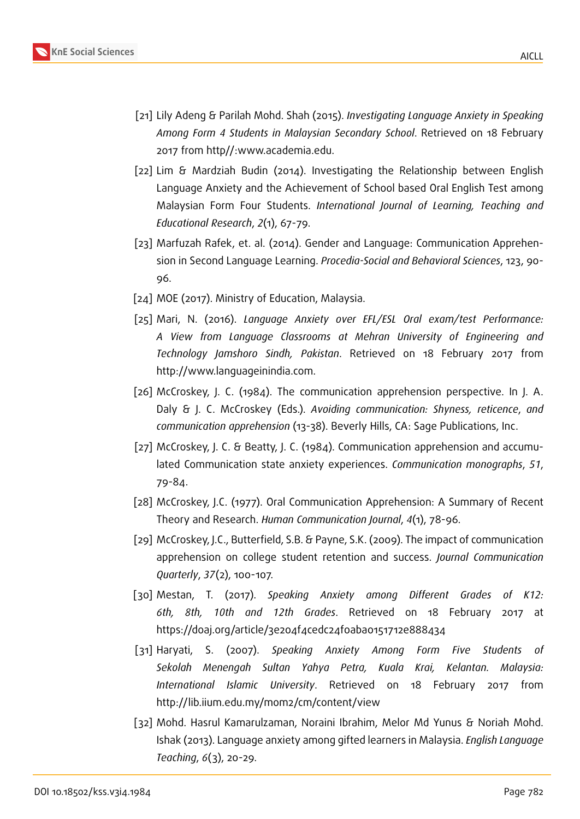

- <span id="page-13-5"></span><span id="page-13-4"></span>[21] Lily Adeng & Parilah Mohd. Shah (2015). *Investigating Language Anxiety in Speaking Among Form 4 Students in Malaysian Secondary School*. Retrieved on 18 February 2017 from http//:www.academia.edu.
	- [22] Lim & Mardziah Budin (2014). Investigating the Relationship between English Language Anxiety and the Achievement of School based Oral English Test among Malaysian Form Four Students. *International Journal of Learning, Teaching and Educational Research*, *2*(1), 67-79.
	- [23] Marfuzah Rafek, et. al. (2014). Gender and Language: Communication Apprehension in Second Language Learning. *Procedia-Social and Behavioral Sciences*, 123, 90- 96.
- <span id="page-13-2"></span><span id="page-13-0"></span>[24] MOE (2017). Ministry of Education, Malaysia.
- <span id="page-13-3"></span>[25] Mari, N. (2016). *Language Anxiety over EFL/ESL Oral exam/test Performance: A View from Language Classrooms at Mehran University of Engineering and Technology Jamshoro Sindh, Pakistan*. Retrieved on 18 February 2017 from http://www.languageinindia.com.
- [26] McCroskey, J. C. (1984). The communication apprehension perspective. In J. A. Daly & J. C. McCroskey (Eds.). *Avoiding communication: Shyness, reticence*, *and communication apprehension* (13-38). Beverly Hills, CA: Sage Publications, Inc.
- [27] McCroskey, J. C. & Beatty, J. C. (1984). Communication apprehension and accumulated Communication state anxiety experiences. *Communication monographs*, *51*, 79-84.
- [28] McCroskey, J.C. (1977). Oral Communication Apprehension: A Summary of Recent Theory and Research. *Human Communication Journal*, *4*(1), 78-96.
- [29] McCroskey, J.C., Butterfield, S.B. & Payne, S.K. (2009). The impact of communication apprehension on college student retention and success. *Journal Communication Quarterly*, *37*(2), 100-107.
- <span id="page-13-1"></span>[30] Mestan, T. (2017). *Speaking Anxiety among Different Grades of K12: 6th, 8th, 10th and 12th Grades*. Retrieved on 18 February 2017 at https://doaj.org/article/3e204f4cedc24f0aba0151712e888434
- [31] Haryati, S. (2007). *Speaking Anxiety Among Form Five Students of Sekolah Menengah Sultan Yahya Petra, Kuala Krai, Kelantan. Malaysia: International Islamic University*. Retrieved on 18 February 2017 from http://lib.iium.edu.my/mom2/cm/content/view
- [32] Mohd. Hasrul Kamarulzaman, Noraini Ibrahim, Melor Md Yunus & Noriah Mohd. Ishak (2013). Language anxiety among gifted learners in Malaysia. *English Language Teaching*, *6*(3), 20-29.